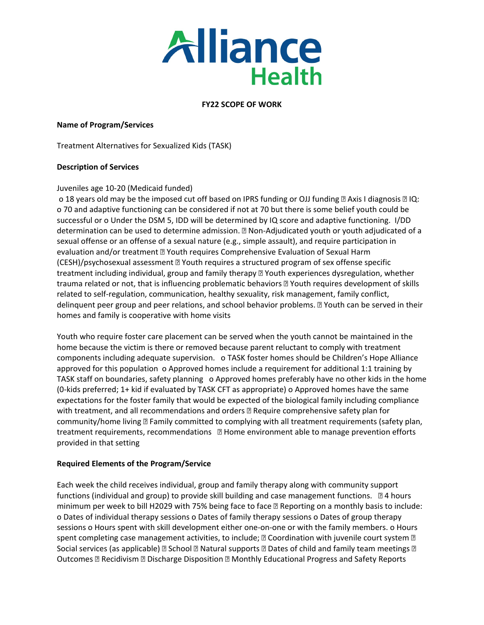

# **FY22 SCOPE OF WORK**

## **Name of Program/Services**

Treatment Alternatives for Sexualized Kids (TASK)

## **Description of Services**

## Juveniles age 10-20 (Medicaid funded)

o 18 years old may be the imposed cut off based on IPRS funding or OJJ funding  $\mathbb D$  Axis I diagnosis  $\mathbb D$  IQ: o 70 and adaptive functioning can be considered if not at 70 but there is some belief youth could be successful or o Under the DSM 5, IDD will be determined by IQ score and adaptive functioning. I/DD determination can be used to determine admission. **Non-Adjudicated youth or youth adjudicated of a** sexual offense or an offense of a sexual nature (e.g., simple assault), and require participation in evaluation and/or treatment *D* Youth requires Comprehensive Evaluation of Sexual Harm (CESH)/psychosexual assessment Youth requires a structured program of sex offense specific treatment including individual, group and family therapy **Nouth experiences dysregulation**, whether trauma related or not, that is influencing problematic behaviors Youth requires development of skills related to self-regulation, communication, healthy sexuality, risk management, family conflict, delinquent peer group and peer relations, and school behavior problems. Youth can be served in their homes and family is cooperative with home visits

Youth who require foster care placement can be served when the youth cannot be maintained in the home because the victim is there or removed because parent reluctant to comply with treatment components including adequate supervision. o TASK foster homes should be Children's Hope Alliance approved for this population o Approved homes include a requirement for additional 1:1 training by TASK staff on boundaries, safety planning o Approved homes preferably have no other kids in the home (0-kids preferred; 1+ kid if evaluated by TASK CFT as appropriate) o Approved homes have the same expectations for the foster family that would be expected of the biological family including compliance with treatment, and all recommendations and orders **R** Require comprehensive safety plan for community/home living **D** Family committed to complying with all treatment requirements (safety plan, treatment requirements, recommendations  $\Box$  Home environment able to manage prevention efforts provided in that setting

# **Required Elements of the Program/Service**

Each week the child receives individual, group and family therapy along with community support functions (individual and group) to provide skill building and case management functions.  $\Box$  4 hours minimum per week to bill H2029 with 75% being face to face **R** Reporting on a monthly basis to include: o Dates of individual therapy sessions o Dates of family therapy sessions o Dates of group therapy sessions o Hours spent with skill development either one-on-one or with the family members. o Hours spent completing case management activities, to include;  $\mathbb B$  Coordination with juvenile court system  $\mathbb B$ Social services (as applicable)  $\mathbb B$  School  $\mathbb B$  Natural supports  $\mathbb B$  Dates of child and family team meetings  $\mathbb B$ Outcomes **<b>Recidivism <b>R** Discharge Disposition **R** Monthly Educational Progress and Safety Reports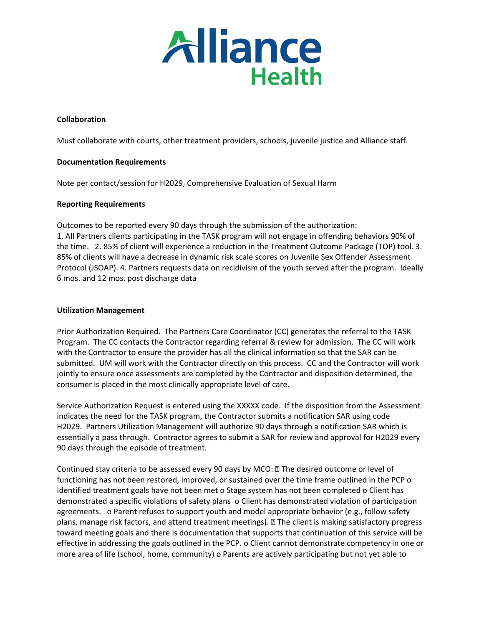

# **Collaboration**

Must collaborate with courts, other treatment providers, schools, juvenile justice and Alliance staff.

## **Documentation Requirements**

Note per contact/session for H2029, Comprehensive Evaluation of Sexual Harm

## **Reporting Requirements**

Outcomes to be reported every 90 days through the submission of the authorization: 1. All Partners clients participating in the TASK program will not engage in offending behaviors 90% of the time. 2. 85% of client will experience a reduction in the Treatment Outcome Package (TOP) tool. 3. 85% of clients will have a decrease in dynamic risk scale scores on Juvenile Sex Offender Assessment Protocol (JSOAP). 4. Partners requests data on recidivism of the youth served after the program. Ideally 6 mos. and 12 mos. post discharge data

## **Utilization Management**

Prior Authorization Required. The Partners Care Coordinator (CC) generates the referral to the TASK Program. The CC contacts the Contractor regarding referral & review for admission. The CC will work with the Contractor to ensure the provider has all the clinical information so that the SAR can be submitted. UM will work with the Contractor directly on this process. CC and the Contractor will work jointly to ensure once assessments are completed by the Contractor and disposition determined, the consumer is placed in the most clinically appropriate level of care.

Service Authorization Request is entered using the XXXXX code. If the disposition from the Assessment indicates the need for the TASK program, the Contractor submits a notification SAR using code H2029. Partners Utilization Management will authorize 90 days through a notification SAR which is essentially a pass through. Contractor agrees to submit a SAR for review and approval for H2029 every 90 days through the episode of treatment.

Continued stay criteria to be assessed every 90 days by MCO: I The desired outcome or level of functioning has not been restored, improved, or sustained over the time frame outlined in the PCP o Identified treatment goals have not been met o Stage system has not been completed o Client has demonstrated a specific violations of safety plans o Client has demonstrated violation of participation agreements. o Parent refuses to support youth and model appropriate behavior (e.g., follow safety plans, manage risk factors, and attend treatment meetings). The client is making satisfactory progress toward meeting goals and there is documentation that supports that continuation of this service will be effective in addressing the goals outlined in the PCP. o Client cannot demonstrate competency in one or more area of life (school, home, community) o Parents are actively participating but not yet able to